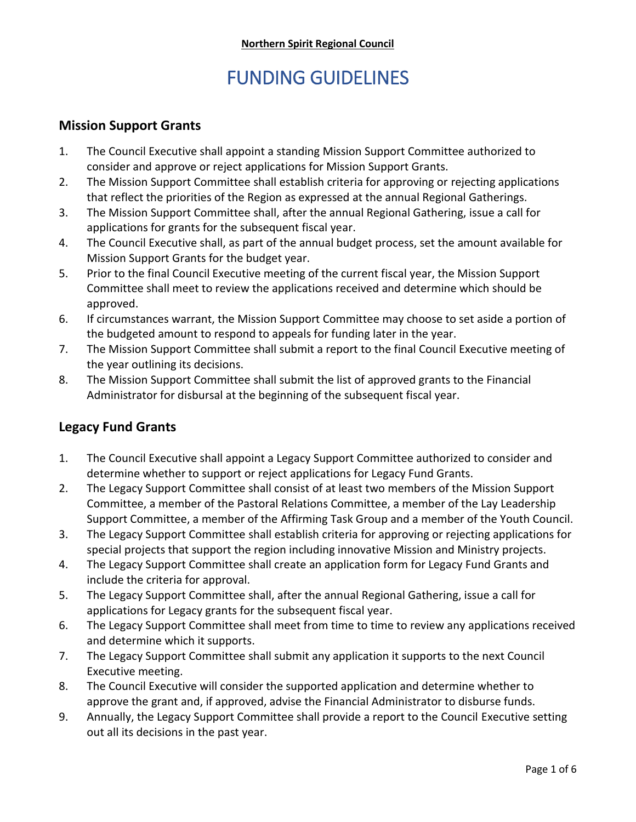# FUNDING GUIDELINES

#### **Mission Support Grants**

- 1. The Council Executive shall appoint a standing Mission Support Committee authorized to consider and approve or reject applications for Mission Support Grants.
- 2. The Mission Support Committee shall establish criteria for approving or rejecting applications that reflect the priorities of the Region as expressed at the annual Regional Gatherings.
- 3. The Mission Support Committee shall, after the annual Regional Gathering, issue a call for applications for grants for the subsequent fiscal year.
- 4. The Council Executive shall, as part of the annual budget process, set the amount available for Mission Support Grants for the budget year.
- 5. Prior to the final Council Executive meeting of the current fiscal year, the Mission Support Committee shall meet to review the applications received and determine which should be approved.
- 6. If circumstances warrant, the Mission Support Committee may choose to set aside a portion of the budgeted amount to respond to appeals for funding later in the year.
- 7. The Mission Support Committee shall submit a report to the final Council Executive meeting of the year outlining its decisions.
- 8. The Mission Support Committee shall submit the list of approved grants to the Financial Administrator for disbursal at the beginning of the subsequent fiscal year.

#### **Legacy Fund Grants**

- 1. The Council Executive shall appoint a Legacy Support Committee authorized to consider and determine whether to support or reject applications for Legacy Fund Grants.
- 2. The Legacy Support Committee shall consist of at least two members of the Mission Support Committee, a member of the Pastoral Relations Committee, a member of the Lay Leadership Support Committee, a member of the Affirming Task Group and a member of the Youth Council.
- 3. The Legacy Support Committee shall establish criteria for approving or rejecting applications for special projects that support the region including innovative Mission and Ministry projects.
- 4. The Legacy Support Committee shall create an application form for Legacy Fund Grants and include the criteria for approval.
- 5. The Legacy Support Committee shall, after the annual Regional Gathering, issue a call for applications for Legacy grants for the subsequent fiscal year.
- 6. The Legacy Support Committee shall meet from time to time to review any applications received and determine which it supports.
- 7. The Legacy Support Committee shall submit any application it supports to the next Council Executive meeting.
- 8. The Council Executive will consider the supported application and determine whether to approve the grant and, if approved, advise the Financial Administrator to disburse funds.
- 9. Annually, the Legacy Support Committee shall provide a report to the Council Executive setting out all its decisions in the past year.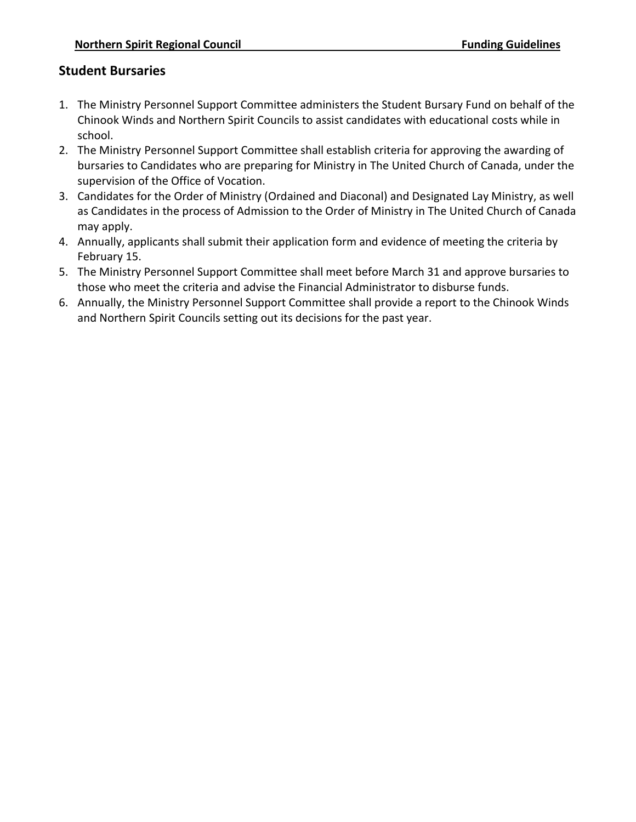## **Student Bursaries**

- 1. The Ministry Personnel Support Committee administers the Student Bursary Fund on behalf of the Chinook Winds and Northern Spirit Councils to assist candidates with educational costs while in school.
- 2. The Ministry Personnel Support Committee shall establish criteria for approving the awarding of bursaries to Candidates who are preparing for Ministry in The United Church of Canada, under the supervision of the Office of Vocation.
- 3. Candidates for the Order of Ministry (Ordained and Diaconal) and Designated Lay Ministry, as well as Candidates in the process of Admission to the Order of Ministry in The United Church of Canada may apply.
- 4. Annually, applicants shall submit their application form and evidence of meeting the criteria by February 15.
- 5. The Ministry Personnel Support Committee shall meet before March 31 and approve bursaries to those who meet the criteria and advise the Financial Administrator to disburse funds.
- 6. Annually, the Ministry Personnel Support Committee shall provide a report to the Chinook Winds and Northern Spirit Councils setting out its decisions for the past year.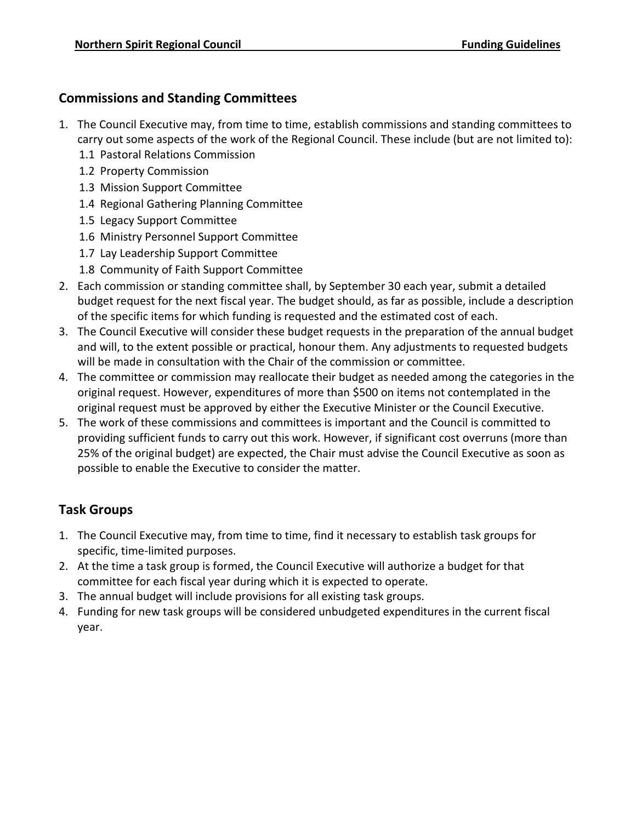## **Commissions and Standing Committees**

- 1. The Council Executive may, from time to time, establish commissions and standing committees to carry out some aspects of the work of the Regional Council. These include (but are not limited to):
	- 1.1 Pastoral Relations Commission
	- 1.2 Property Commission
	- 1.3 Mission Support Committee
	- 1.4 Regional Gathering Planning Committee
	- 1.5 Legacy Support Committee
	- 1.6 Ministry Personnel Support Committee
	- 1.7 Lay Leadership Support Committee
	- 1.8 Community of Faith Support Committee
- 2. Each commission or standing committee shall, by September 30 each year, submit a detailed budget request for the next fiscal year. The budget should, as far as possible, include a description of the specific items for which funding is requested and the estimated cost of each.
- 3. The Council Executive will consider these budget requests in the preparation of the annual budget and will, to the extent possible or practical, honour them. Any adjustments to requested budgets will be made in consultation with the Chair of the commission or committee.
- 4. The committee or commission may reallocate their budget as needed among the categories in the original request. However, expenditures of more than \$500 on items not contemplated in the original request must be approved by either the Executive Minister or the Council Executive.
- 5. The work of these commissions and committees is important and the Council is committed to providing sufficient funds to carry out this work. However, if significant cost overruns (more than 25% of the original budget) are expected, the Chair must advise the Council Executive as soon as possible to enable the Executive to consider the matter.

# **Task Groups**

- 1. The Council Executive may, from time to time, find it necessary to establish task groups for specific, time-limited purposes.
- 2. At the time a task group is formed, the Council Executive will authorize a budget for that committee for each fiscal year during which it is expected to operate.
- 3. The annual budget will include provisions for all existing task groups.
- 4. Funding for new task groups will be considered unbudgeted expenditures in the current fiscal year.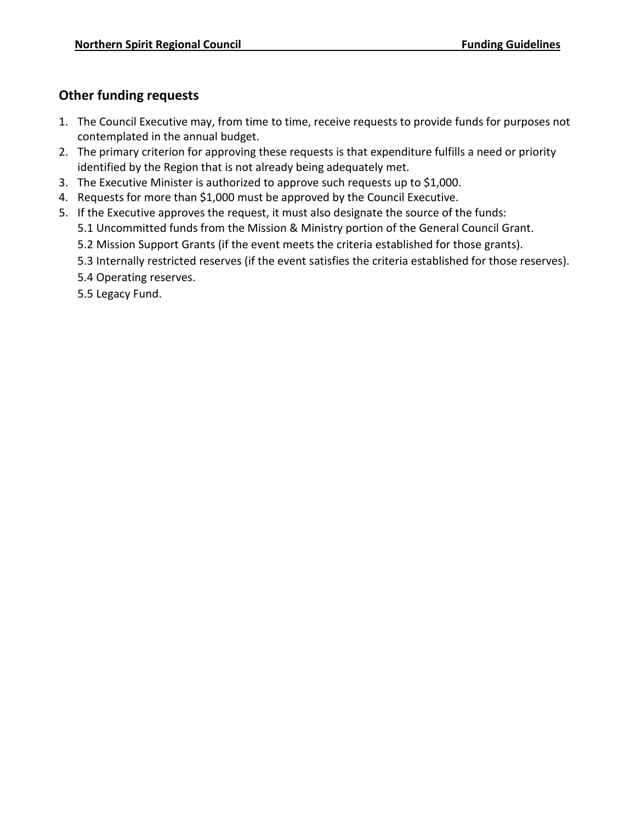## **Other funding requests**

- 1. The Council Executive may, from time to time, receive requests to provide funds for purposes not contemplated in the annual budget.
- 2. The primary criterion for approving these requests is that expenditure fulfills a need or priority identified by the Region that is not already being adequately met.
- 3. The Executive Minister is authorized to approve such requests up to \$1,000.
- 4. Requests for more than \$1,000 must be approved by the Council Executive.
- 5. If the Executive approves the request, it must also designate the source of the funds:
	- 5.1 Uncommitted funds from the Mission & Ministry portion of the General Council Grant.
	- 5.2 Mission Support Grants (if the event meets the criteria established for those grants).
	- 5.3 Internally restricted reserves (if the event satisfies the criteria established for those reserves).
	- 5.4 Operating reserves.
	- 5.5 Legacy Fund.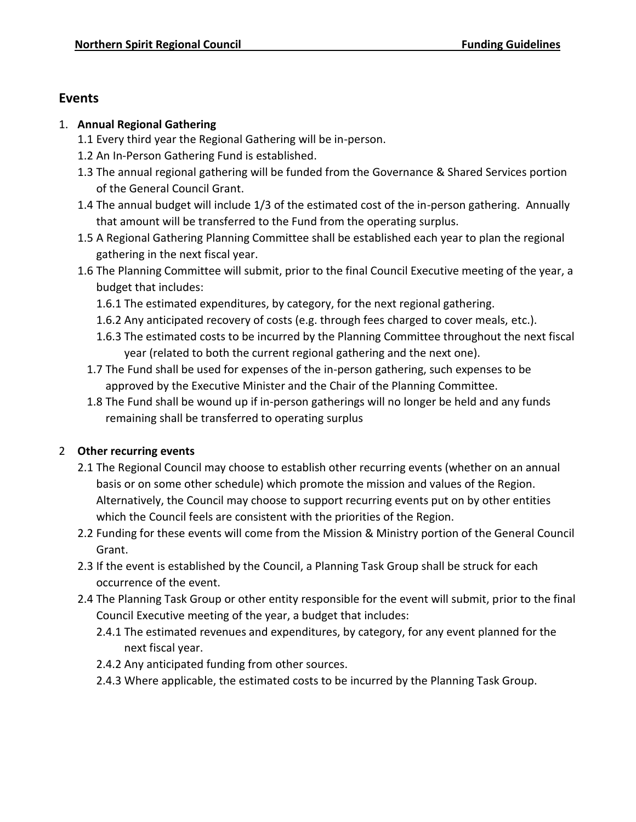## **Events**

#### 1. **Annual Regional Gathering**

- 1.1 Every third year the Regional Gathering will be in-person.
- 1.2 An In-Person Gathering Fund is established.
- 1.3 The annual regional gathering will be funded from the Governance & Shared Services portion of the General Council Grant.
- 1.4 The annual budget will include 1/3 of the estimated cost of the in-person gathering. Annually that amount will be transferred to the Fund from the operating surplus.
- 1.5 A Regional Gathering Planning Committee shall be established each year to plan the regional gathering in the next fiscal year.
- 1.6 The Planning Committee will submit, prior to the final Council Executive meeting of the year, a budget that includes:
	- 1.6.1 The estimated expenditures, by category, for the next regional gathering.
	- 1.6.2 Any anticipated recovery of costs (e.g. through fees charged to cover meals, etc.).
	- 1.6.3 The estimated costs to be incurred by the Planning Committee throughout the next fiscal year (related to both the current regional gathering and the next one).
	- 1.7 The Fund shall be used for expenses of the in-person gathering, such expenses to be approved by the Executive Minister and the Chair of the Planning Committee.
	- 1.8 The Fund shall be wound up if in-person gatherings will no longer be held and any funds remaining shall be transferred to operating surplus

## 2 **Other recurring events**

- 2.1 The Regional Council may choose to establish other recurring events (whether on an annual basis or on some other schedule) which promote the mission and values of the Region. Alternatively, the Council may choose to support recurring events put on by other entities which the Council feels are consistent with the priorities of the Region.
- 2.2 Funding for these events will come from the Mission & Ministry portion of the General Council Grant.
- 2.3 If the event is established by the Council, a Planning Task Group shall be struck for each occurrence of the event.
- 2.4 The Planning Task Group or other entity responsible for the event will submit, prior to the final Council Executive meeting of the year, a budget that includes:
	- 2.4.1 The estimated revenues and expenditures, by category, for any event planned for the next fiscal year.
	- 2.4.2 Any anticipated funding from other sources.
	- 2.4.3 Where applicable, the estimated costs to be incurred by the Planning Task Group.